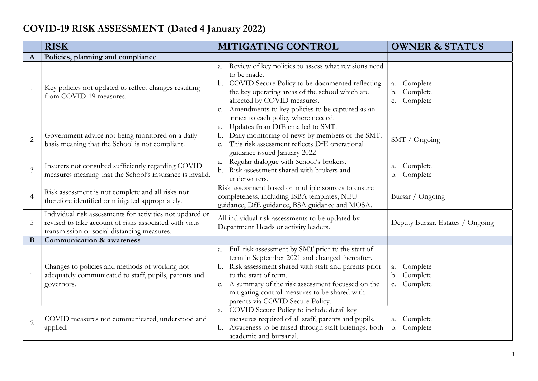## COVID-19 RISK ASSESSMENT (Dated 4 January 2022)

|                | <b>RISK</b>                                                                                                                                                        | <b>MITIGATING CONTROL</b>                                                                                                                                                                                                                                                                                                                               | <b>OWNER &amp; STATUS</b>                          |
|----------------|--------------------------------------------------------------------------------------------------------------------------------------------------------------------|---------------------------------------------------------------------------------------------------------------------------------------------------------------------------------------------------------------------------------------------------------------------------------------------------------------------------------------------------------|----------------------------------------------------|
| A              | Policies, planning and compliance                                                                                                                                  |                                                                                                                                                                                                                                                                                                                                                         |                                                    |
| $\mathbf{1}$   | Key policies not updated to reflect changes resulting<br>from COVID-19 measures.                                                                                   | Review of key policies to assess what revisions need<br>a.<br>to be made.<br>COVID Secure Policy to be documented reflecting<br>b.<br>the key operating areas of the school which are<br>affected by COVID measures.<br>Amendments to key policies to be captured as an<br>c.<br>annex to each policy where needed.                                     | Complete<br>a.<br>Complete<br>b.<br>Complete<br>c. |
| $\overline{2}$ | Government advice not being monitored on a daily<br>basis meaning that the School is not compliant.                                                                | Updates from DfE emailed to SMT.<br>a.<br>Daily monitoring of news by members of the SMT.<br>b.<br>This risk assessment reflects DfE operational<br>c.<br>guidance issued January 2022                                                                                                                                                                  | SMT / Ongoing                                      |
| 3              | Insurers not consulted sufficiently regarding COVID<br>measures meaning that the School's insurance is invalid.                                                    | Regular dialogue with School's brokers.<br>a.<br>Risk assessment shared with brokers and<br>b.<br>underwriters.                                                                                                                                                                                                                                         | Complete<br>a.<br>Complete<br>b.                   |
| $\overline{4}$ | Risk assessment is not complete and all risks not<br>therefore identified or mitigated appropriately.                                                              | Risk assessment based on multiple sources to ensure<br>completeness, including ISBA templates, NEU<br>guidance, DfE guidance, BSA guidance and MOSA.                                                                                                                                                                                                    | Bursar / Ongoing                                   |
| 5              | Individual risk assessments for activities not updated or<br>revised to take account of risks associated with virus<br>transmission or social distancing measures. | All individual risk assessments to be updated by<br>Department Heads or activity leaders.                                                                                                                                                                                                                                                               | Deputy Bursar, Estates / Ongoing                   |
| B              | <b>Communication &amp; awareness</b>                                                                                                                               |                                                                                                                                                                                                                                                                                                                                                         |                                                    |
| $\mathbf{1}$   | Changes to policies and methods of working not<br>adequately communicated to staff, pupils, parents and<br>governors.                                              | Full risk assessment by SMT prior to the start of<br>a.<br>term in September 2021 and changed thereafter.<br>Risk assessment shared with staff and parents prior<br>b.<br>to the start of term.<br>A summary of the risk assessment focussed on the<br>$c_{\cdot}$<br>mitigating control measures to be shared with<br>parents via COVID Secure Policy. | Complete<br>a.<br>Complete<br>b.<br>Complete<br>c. |
| $\overline{2}$ | COVID measures not communicated, understood and<br>applied.                                                                                                        | COVID Secure Policy to include detail key<br>a.<br>measures required of all staff, parents and pupils.<br>Awareness to be raised through staff briefings, both<br>b.<br>academic and bursarial.                                                                                                                                                         | Complete<br>a.<br>b. Complete                      |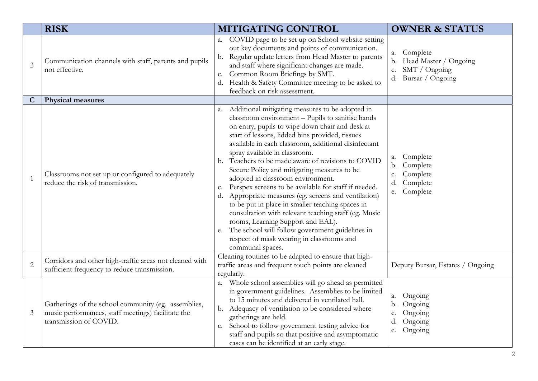|                | <b>RISK</b>                                                                                                                         | <b>MITIGATING CONTROL</b>                                                                                                                                                                                                                                                                                                                                                                                                                                                                                                                                                                                                                                                                                                                                                                                                                   | <b>OWNER &amp; STATUS</b>                                                                   |
|----------------|-------------------------------------------------------------------------------------------------------------------------------------|---------------------------------------------------------------------------------------------------------------------------------------------------------------------------------------------------------------------------------------------------------------------------------------------------------------------------------------------------------------------------------------------------------------------------------------------------------------------------------------------------------------------------------------------------------------------------------------------------------------------------------------------------------------------------------------------------------------------------------------------------------------------------------------------------------------------------------------------|---------------------------------------------------------------------------------------------|
| 3              | Communication channels with staff, parents and pupils<br>not effective.                                                             | a. COVID page to be set up on School website setting<br>out key documents and points of communication.<br>b. Regular update letters from Head Master to parents<br>and staff where significant changes are made.<br>Common Room Briefings by SMT.<br>c.<br>d. Health & Safety Committee meeting to be asked to<br>feedback on risk assessment.                                                                                                                                                                                                                                                                                                                                                                                                                                                                                              | Complete<br>a.<br>Head Master / Ongoing<br>b.<br>SMT / Ongoing<br>c.<br>d. Bursar / Ongoing |
| $\mathbf C$    | <b>Physical measures</b>                                                                                                            |                                                                                                                                                                                                                                                                                                                                                                                                                                                                                                                                                                                                                                                                                                                                                                                                                                             |                                                                                             |
| $\mathbf{1}$   | Classrooms not set up or configured to adequately<br>reduce the risk of transmission.                                               | a. Additional mitigating measures to be adopted in<br>classroom environment - Pupils to sanitise hands<br>on entry, pupils to wipe down chair and desk at<br>start of lessons, lidded bins provided, tissues<br>available in each classroom, additional disinfectant<br>spray available in classroom.<br>b. Teachers to be made aware of revisions to COVID<br>Secure Policy and mitigating measures to be<br>adopted in classroom environment.<br>c. Perspex screens to be available for staff if needed.<br>d. Appropriate measures (eg. screens and ventilation)<br>to be put in place in smaller teaching spaces in<br>consultation with relevant teaching staff (eg. Music<br>rooms, Learning Support and EAL).<br>e. The school will follow government guidelines in<br>respect of mask wearing in classrooms and<br>communal spaces. | Complete<br>а.<br>Complete<br>b.<br>Complete<br>c.<br>Complete<br>d.<br>Complete<br>e.      |
| $\overline{c}$ | Corridors and other high-traffic areas not cleaned with<br>sufficient frequency to reduce transmission.                             | Cleaning routines to be adapted to ensure that high-<br>traffic areas and frequent touch points are cleaned<br>regularly.                                                                                                                                                                                                                                                                                                                                                                                                                                                                                                                                                                                                                                                                                                                   | Deputy Bursar, Estates / Ongoing                                                            |
| 3              | Gatherings of the school community (eg. assemblies,<br>music performances, staff meetings) facilitate the<br>transmission of COVID. | a. Whole school assemblies will go ahead as permitted<br>in government guidelines. Assemblies to be limited<br>to 15 minutes and delivered in ventilated hall.<br>b. Adequacy of ventilation to be considered where<br>gatherings are held.<br>c. School to follow government testing advice for<br>staff and pupils so that positive and asymptomatic<br>cases can be identified at an early stage.                                                                                                                                                                                                                                                                                                                                                                                                                                        | Ongoing<br>a.<br>Ongoing<br>b.<br>Ongoing<br>c.<br>Ongoing<br>d.<br>Ongoing<br>e.           |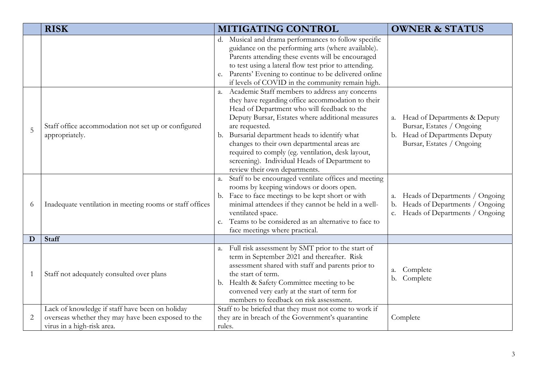|                | <b>RISK</b>                                                                                                                         | MITIGATING CONTROL                                                                                                                                                                                                                                                                                                                                                                                                                                                  | <b>OWNER &amp; STATUS</b>                                                                                                     |
|----------------|-------------------------------------------------------------------------------------------------------------------------------------|---------------------------------------------------------------------------------------------------------------------------------------------------------------------------------------------------------------------------------------------------------------------------------------------------------------------------------------------------------------------------------------------------------------------------------------------------------------------|-------------------------------------------------------------------------------------------------------------------------------|
|                |                                                                                                                                     | d. Musical and drama performances to follow specific<br>guidance on the performing arts (where available).<br>Parents attending these events will be encouraged<br>to test using a lateral flow test prior to attending.<br>e. Parents' Evening to continue to be delivered online<br>if levels of COVID in the community remain high.                                                                                                                              |                                                                                                                               |
| 5              | Staff office accommodation not set up or configured<br>appropriately.                                                               | a. Academic Staff members to address any concerns<br>they have regarding office accommodation to their<br>Head of Department who will feedback to the<br>Deputy Bursar, Estates where additional measures<br>are requested.<br>b. Bursarial department heads to identify what<br>changes to their own departmental areas are<br>required to comply (eg. ventilation, desk layout,<br>screening). Individual Heads of Department to<br>review their own departments. | Head of Departments & Deputy<br>a.<br>Bursar, Estates / Ongoing<br>b. Head of Departments Deputy<br>Bursar, Estates / Ongoing |
| 6              | Inadequate ventilation in meeting rooms or staff offices                                                                            | a. Staff to be encouraged ventilate offices and meeting<br>rooms by keeping windows or doors open.<br>b. Face to face meetings to be kept short or with<br>minimal attendees if they cannot be held in a well-<br>ventilated space.<br>Teams to be considered as an alternative to face to<br>$\mathbf{C}$ .<br>face meetings where practical.                                                                                                                      | Heads of Departments / Ongoing<br>a.<br>Heads of Departments / Ongoing<br>b.<br>Heads of Departments / Ongoing<br>C.          |
| D              | <b>Staff</b>                                                                                                                        |                                                                                                                                                                                                                                                                                                                                                                                                                                                                     |                                                                                                                               |
|                | Staff not adequately consulted over plans                                                                                           | Full risk assessment by SMT prior to the start of<br>a.<br>term in September 2021 and thereafter. Risk<br>assessment shared with staff and parents prior to<br>the start of term.<br>b. Health & Safety Committee meeting to be<br>convened very early at the start of term for<br>members to feedback on risk assessment.                                                                                                                                          | Complete<br>а.<br>Complete<br>b.                                                                                              |
| $\overline{2}$ | Lack of knowledge if staff have been on holiday<br>overseas whether they may have been exposed to the<br>virus in a high-risk area. | Staff to be briefed that they must not come to work if<br>they are in breach of the Government's quarantine<br>rules.                                                                                                                                                                                                                                                                                                                                               | Complete                                                                                                                      |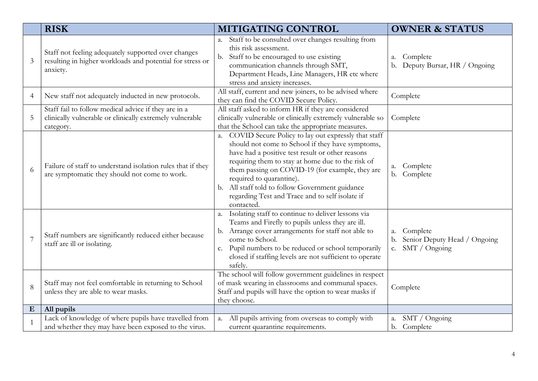|                | <b>RISK</b>                                                                                                                   | <b>MITIGATING CONTROL</b>                                                                                                                                                                                                                                                                                                                                                                                              | <b>OWNER &amp; STATUS</b>                                                               |
|----------------|-------------------------------------------------------------------------------------------------------------------------------|------------------------------------------------------------------------------------------------------------------------------------------------------------------------------------------------------------------------------------------------------------------------------------------------------------------------------------------------------------------------------------------------------------------------|-----------------------------------------------------------------------------------------|
| $\mathfrak{Z}$ | Staff not feeling adequately supported over changes<br>resulting in higher workloads and potential for stress or<br>anxiety.  | a. Staff to be consulted over changes resulting from<br>this risk assessment.<br>b. Staff to be encouraged to use existing<br>communication channels through SMT,<br>Department Heads, Line Managers, HR etc where<br>stress and anxiety increases.                                                                                                                                                                    | Complete<br>a.<br>Deputy Bursar, HR / Ongoing<br>b.                                     |
| $\overline{4}$ | New staff not adequately inducted in new protocols.                                                                           | All staff, current and new joiners, to be advised where<br>they can find the COVID Secure Policy.                                                                                                                                                                                                                                                                                                                      | Complete                                                                                |
| $\mathbf 5$    | Staff fail to follow medical advice if they are in a<br>clinically vulnerable or clinically extremely vulnerable<br>category. | All staff asked to inform HR if they are considered<br>clinically vulnerable or clinically extremely vulnerable so<br>that the School can take the appropriate measures.                                                                                                                                                                                                                                               | Complete                                                                                |
| 6              | Failure of staff to understand isolation rules that if they<br>are symptomatic they should not come to work.                  | a. COVID Secure Policy to lay out expressly that staff<br>should not come to School if they have symptoms,<br>have had a positive test result or other reasons<br>requiring them to stay at home due to the risk of<br>them passing on COVID-19 (for example, they are<br>required to quarantine).<br>b. All staff told to follow Government guidance<br>regarding Test and Trace and to self isolate if<br>contacted. | Complete<br>a.<br>b. Complete                                                           |
| $\overline{7}$ | Staff numbers are significantly reduced either because<br>staff are ill or isolating.                                         | a. Isolating staff to continue to deliver lessons via<br>Teams and Firefly to pupils unless they are ill.<br>b. Arrange cover arrangements for staff not able to<br>come to School.<br>Pupil numbers to be reduced or school temporarily<br>c.<br>closed if staffing levels are not sufficient to operate<br>safely.                                                                                                   | Complete<br>a.<br>Senior Deputy Head / Ongoing<br>b.<br>SMT / Ongoing<br>C <sub>1</sub> |
| 8              | Staff may not feel comfortable in returning to School<br>unless they are able to wear masks.                                  | The school will follow government guidelines in respect<br>of mask wearing in classrooms and communal spaces.<br>Staff and pupils will have the option to wear masks if<br>they choose.                                                                                                                                                                                                                                | Complete                                                                                |
| ${\bf E}$      | All pupils                                                                                                                    |                                                                                                                                                                                                                                                                                                                                                                                                                        |                                                                                         |
|                | Lack of knowledge of where pupils have travelled from<br>and whether they may have been exposed to the virus.                 | All pupils arriving from overseas to comply with<br>a.<br>current quarantine requirements.                                                                                                                                                                                                                                                                                                                             | SMT / Ongoing<br>а.<br>b. Complete                                                      |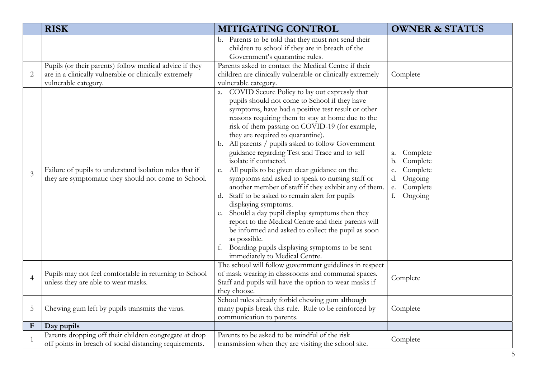|                | <b>RISK</b>                                                                                                                             | <b>MITIGATING CONTROL</b>                                                                                                                                                                                                                                                                                                                                                                                                                                                                                                                                                                                                                                                                                                                                                                                                                                                                                                                                                    | <b>OWNER &amp; STATUS</b>                                                                                      |
|----------------|-----------------------------------------------------------------------------------------------------------------------------------------|------------------------------------------------------------------------------------------------------------------------------------------------------------------------------------------------------------------------------------------------------------------------------------------------------------------------------------------------------------------------------------------------------------------------------------------------------------------------------------------------------------------------------------------------------------------------------------------------------------------------------------------------------------------------------------------------------------------------------------------------------------------------------------------------------------------------------------------------------------------------------------------------------------------------------------------------------------------------------|----------------------------------------------------------------------------------------------------------------|
| $\mathbf{2}$   | Pupils (or their parents) follow medical advice if they<br>are in a clinically vulnerable or clinically extremely                       | b. Parents to be told that they must not send their<br>children to school if they are in breach of the<br>Government's quarantine rules.<br>Parents asked to contact the Medical Centre if their<br>children are clinically vulnerable or clinically extremely                                                                                                                                                                                                                                                                                                                                                                                                                                                                                                                                                                                                                                                                                                               | Complete                                                                                                       |
| $\overline{3}$ | vulnerable category.<br>Failure of pupils to understand isolation rules that if<br>they are symptomatic they should not come to School. | vulnerable category.<br>a. COVID Secure Policy to lay out expressly that<br>pupils should not come to School if they have<br>symptoms, have had a positive test result or other<br>reasons requiring them to stay at home due to the<br>risk of them passing on COVID-19 (for example,<br>they are required to quarantine).<br>b. All parents / pupils asked to follow Government<br>guidance regarding Test and Trace and to self<br>isolate if contacted.<br>c. All pupils to be given clear guidance on the<br>symptoms and asked to speak to nursing staff or<br>another member of staff if they exhibit any of them.<br>d. Staff to be asked to remain alert for pupils<br>displaying symptoms.<br>e. Should a day pupil display symptoms then they<br>report to the Medical Centre and their parents will<br>be informed and asked to collect the pupil as soon<br>as possible.<br>f. Boarding pupils displaying symptoms to be sent<br>immediately to Medical Centre. | Complete<br>а.<br>Complete<br>b.<br>Complete<br>c.<br>Ongoing<br>d.<br>Complete<br>${\bf e}.$<br>Ongoing<br>f. |
| $\overline{4}$ | Pupils may not feel comfortable in returning to School<br>unless they are able to wear masks.                                           | The school will follow government guidelines in respect<br>of mask wearing in classrooms and communal spaces.<br>Staff and pupils will have the option to wear masks if<br>they choose.                                                                                                                                                                                                                                                                                                                                                                                                                                                                                                                                                                                                                                                                                                                                                                                      | Complete                                                                                                       |
| $\mathbf 5$    | Chewing gum left by pupils transmits the virus.                                                                                         | School rules already forbid chewing gum although<br>many pupils break this rule. Rule to be reinforced by<br>communication to parents.                                                                                                                                                                                                                                                                                                                                                                                                                                                                                                                                                                                                                                                                                                                                                                                                                                       | Complete                                                                                                       |
| $\mathbf F$    | Day pupils                                                                                                                              |                                                                                                                                                                                                                                                                                                                                                                                                                                                                                                                                                                                                                                                                                                                                                                                                                                                                                                                                                                              |                                                                                                                |
|                | Parents dropping off their children congregate at drop<br>off points in breach of social distancing requirements.                       | Parents to be asked to be mindful of the risk<br>transmission when they are visiting the school site.                                                                                                                                                                                                                                                                                                                                                                                                                                                                                                                                                                                                                                                                                                                                                                                                                                                                        | Complete                                                                                                       |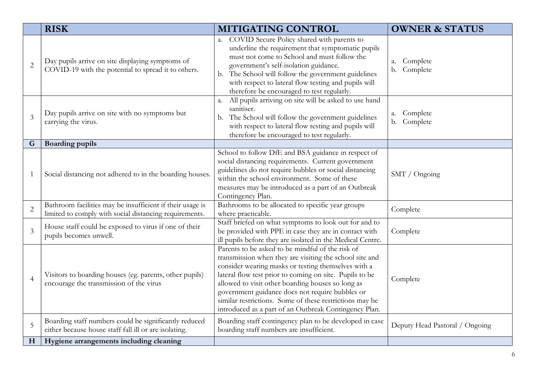|                | <b>RISK</b>                                                                                                         | MITIGATING CONTROL                                                                                                                                                                                                                                                                                                                                                                                                                                        | <b>OWNER &amp; STATUS</b>                    |
|----------------|---------------------------------------------------------------------------------------------------------------------|-----------------------------------------------------------------------------------------------------------------------------------------------------------------------------------------------------------------------------------------------------------------------------------------------------------------------------------------------------------------------------------------------------------------------------------------------------------|----------------------------------------------|
| $\overline{2}$ | Day pupils arrive on site displaying symptoms of<br>COVID-19 with the potential to spread it to others.             | a. COVID Secure Policy shared with parents to<br>underline the requirement that symptomatic pupils<br>must not come to School and must follow the<br>government's self-isolation guidance.<br>b. The School will follow the government guidelines<br>with respect to lateral flow testing and pupils will<br>therefore be encouraged to test regularly.                                                                                                   | Complete<br>a.<br>Complete<br>b.             |
| $\mathfrak{Z}$ | Day pupils arrive on site with no symptoms but<br>carrying the virus.                                               | All pupils arriving on site will be asked to use hand<br>a.<br>sanitiser.<br>b. The School will follow the government guidelines<br>with respect to lateral flow testing and pupils will<br>therefore be encouraged to test regularly.                                                                                                                                                                                                                    | Complete<br>a.<br>Complete<br>$\mathbf{b}$ . |
| G              | <b>Boarding pupils</b>                                                                                              |                                                                                                                                                                                                                                                                                                                                                                                                                                                           |                                              |
| 1              | Social distancing not adhered to in the boarding houses.                                                            | School to follow DfE and BSA guidance in respect of<br>social distancing requirements. Current government<br>guidelines do not require bubbles or social distancing<br>within the school environment. Some of these<br>measures may be introduced as a part of an Outbreak<br>Contingency Plan.                                                                                                                                                           | SMT / Ongoing                                |
| $\overline{2}$ | Bathroom facilities may be insufficient if their usage is<br>limited to comply with social distancing requirements. | Bathrooms to be allocated to specific year groups<br>where practicable.                                                                                                                                                                                                                                                                                                                                                                                   | Complete                                     |
| $\overline{3}$ | House staff could be exposed to virus if one of their<br>pupils becomes unwell.                                     | Staff briefed on what symptoms to look out for and to<br>be provided with PPE in case they are in contact with<br>ill pupils before they are isolated in the Medical Centre.                                                                                                                                                                                                                                                                              | Complete                                     |
| $\overline{4}$ | Visitors to boarding houses (eg. parents, other pupils)<br>encourage the transmission of the virus                  | Parents to be asked to be mindful of the risk of<br>transmission when they are visiting the school site and<br>consider wearing masks or testing themselves with a<br>lateral flow test prior to coming on site. Pupils to be<br>allowed to visit other boarding houses so long as<br>government guidance does not require bubbles or<br>similar restrictions. Some of these restrictions may be<br>introduced as a part of an Outbreak Contingency Plan. | Complete                                     |
| $\overline{5}$ | Boarding staff numbers could be significantly reduced<br>either because house staff fall ill or are isolating.      | Boarding staff contingency plan to be developed in case<br>boarding staff numbers are insufficient.                                                                                                                                                                                                                                                                                                                                                       | Deputy Head Pastoral / Ongoing               |
| $\mathbf H$    | Hygiene arrangements including cleaning                                                                             |                                                                                                                                                                                                                                                                                                                                                                                                                                                           |                                              |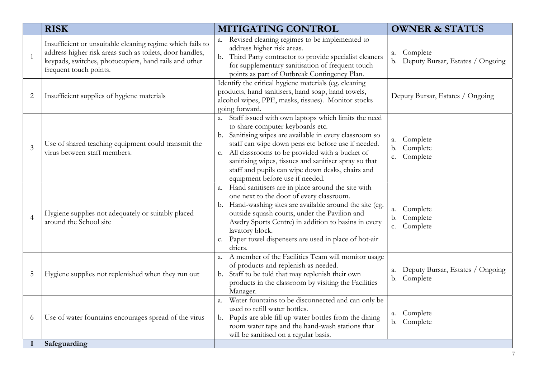|                | <b>RISK</b>                                                                                                                                                                                              | <b>MITIGATING CONTROL</b>                                                                                                                                                                                                                                                                                                                                                                                        | <b>OWNER &amp; STATUS</b>                             |
|----------------|----------------------------------------------------------------------------------------------------------------------------------------------------------------------------------------------------------|------------------------------------------------------------------------------------------------------------------------------------------------------------------------------------------------------------------------------------------------------------------------------------------------------------------------------------------------------------------------------------------------------------------|-------------------------------------------------------|
| $\mathbf{1}$   | Insufficient or unsuitable cleaning regime which fails to<br>address higher risk areas such as toilets, door handles,<br>keypads, switches, photocopiers, hand rails and other<br>frequent touch points. | a. Revised cleaning regimes to be implemented to<br>address higher risk areas.<br>b. Third Party contractor to provide specialist cleaners<br>for supplementary sanitisation of frequent touch<br>points as part of Outbreak Contingency Plan.                                                                                                                                                                   | Complete<br>a.<br>b. Deputy Bursar, Estates / Ongoing |
| $\overline{2}$ | Insufficient supplies of hygiene materials                                                                                                                                                               | Identify the critical hygiene materials (eg. cleaning<br>products, hand sanitisers, hand soap, hand towels,<br>alcohol wipes, PPE, masks, tissues). Monitor stocks<br>going forward.                                                                                                                                                                                                                             | Deputy Bursar, Estates / Ongoing                      |
| 3              | Use of shared teaching equipment could transmit the<br>virus between staff members.                                                                                                                      | a. Staff issued with own laptops which limits the need<br>to share computer keyboards etc.<br>b. Sanitising wipes are available in every classroom so<br>staff can wipe down pens etc before use if needed.<br>c. All classrooms to be provided with a bucket of<br>sanitising wipes, tissues and sanitiser spray so that<br>staff and pupils can wipe down desks, chairs and<br>equipment before use if needed. | Complete<br>a.<br>Complete<br>$b$ .<br>Complete<br>c. |
| $\overline{4}$ | Hygiene supplies not adequately or suitably placed<br>around the School site                                                                                                                             | a. Hand sanitisers are in place around the site with<br>one next to the door of every classroom.<br>b. Hand-washing sites are available around the site (eg.<br>outside squash courts, under the Pavilion and<br>Awdry Sports Centre) in addition to basins in every<br>lavatory block.<br>c. Paper towel dispensers are used in place of hot-air<br>driers.                                                     | Complete<br>a.<br>Complete<br>b.<br>c. Complete       |
| 5              | Hygiene supplies not replenished when they run out                                                                                                                                                       | a. A member of the Facilities Team will monitor usage<br>of products and replenish as needed.<br>b. Staff to be told that may replenish their own<br>products in the classroom by visiting the Facilities<br>Manager.                                                                                                                                                                                            | Deputy Bursar, Estates / Ongoing<br>a.<br>b. Complete |
| 6              | Use of water fountains encourages spread of the virus                                                                                                                                                    | a. Water fountains to be disconnected and can only be<br>used to refill water bottles.<br>b. Pupils are able fill up water bottles from the dining<br>room water taps and the hand-wash stations that<br>will be sanitised on a regular basis.                                                                                                                                                                   | Complete<br>a.<br>b. Complete                         |
|                | Safeguarding                                                                                                                                                                                             |                                                                                                                                                                                                                                                                                                                                                                                                                  |                                                       |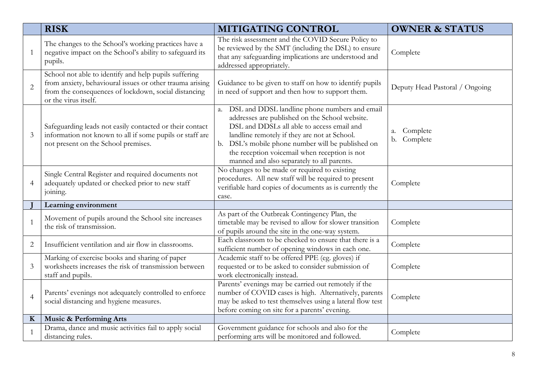|                | <b>RISK</b>                                                                                                                                                                                       | MITIGATING CONTROL                                                                                                                                                                                                                                                                                                                                   | <b>OWNER &amp; STATUS</b>      |
|----------------|---------------------------------------------------------------------------------------------------------------------------------------------------------------------------------------------------|------------------------------------------------------------------------------------------------------------------------------------------------------------------------------------------------------------------------------------------------------------------------------------------------------------------------------------------------------|--------------------------------|
| $\mathbf{1}$   | The changes to the School's working practices have a<br>negative impact on the School's ability to safeguard its<br>pupils.                                                                       | The risk assessment and the COVID Secure Policy to<br>be reviewed by the SMT (including the DSL) to ensure<br>that any safeguarding implications are understood and<br>addressed appropriately.                                                                                                                                                      | Complete                       |
| $\overline{2}$ | School not able to identify and help pupils suffering<br>from anxiety, behavioural issues or other trauma arising<br>from the consequences of lockdown, social distancing<br>or the virus itself. | Guidance to be given to staff on how to identify pupils<br>in need of support and then how to support them.                                                                                                                                                                                                                                          | Deputy Head Pastoral / Ongoing |
| $\mathfrak{Z}$ | Safeguarding leads not easily contacted or their contact<br>information not known to all if some pupils or staff are<br>not present on the School premises.                                       | a. DSL and DDSL landline phone numbers and email<br>addresses are published on the School website.<br>DSL and DDSLs all able to access email and<br>landline remotely if they are not at School.<br>b. DSL's mobile phone number will be published on<br>the reception voicemail when reception is not<br>manned and also separately to all parents. | Complete<br>а.<br>b. Complete  |
| $\overline{4}$ | Single Central Register and required documents not<br>adequately updated or checked prior to new staff<br>joining.                                                                                | No changes to be made or required to existing<br>procedures. All new staff will be required to present<br>verifiable hard copies of documents as is currently the<br>case.                                                                                                                                                                           | Complete                       |
|                | Learning environment                                                                                                                                                                              |                                                                                                                                                                                                                                                                                                                                                      |                                |
| $\mathbf{1}$   | Movement of pupils around the School site increases<br>the risk of transmission.                                                                                                                  | As part of the Outbreak Contingency Plan, the<br>timetable may be revised to allow for slower transition<br>of pupils around the site in the one-way system.                                                                                                                                                                                         | Complete                       |
| $\overline{2}$ | Insufficient ventilation and air flow in classrooms.                                                                                                                                              | Each classroom to be checked to ensure that there is a<br>sufficient number of opening windows in each one.                                                                                                                                                                                                                                          | Complete                       |
| 3              | Marking of exercise books and sharing of paper<br>worksheets increases the risk of transmission between<br>staff and pupils.                                                                      | Academic staff to be offered PPE (eg. gloves) if<br>requested or to be asked to consider submission of<br>work electronically instead.                                                                                                                                                                                                               | Complete                       |
| $\overline{4}$ | Parents' evenings not adequately controlled to enforce<br>social distancing and hygiene measures.                                                                                                 | Parents' evenings may be carried out remotely if the<br>number of COVID cases is high. Alternatively, parents<br>may be asked to test themselves using a lateral flow test<br>before coming on site for a parents' evening.                                                                                                                          | Complete                       |
| $\mathbf K$    | <b>Music &amp; Performing Arts</b>                                                                                                                                                                |                                                                                                                                                                                                                                                                                                                                                      |                                |
| $\mathbf{1}$   | Drama, dance and music activities fail to apply social<br>distancing rules.                                                                                                                       | Government guidance for schools and also for the<br>performing arts will be monitored and followed.                                                                                                                                                                                                                                                  | Complete                       |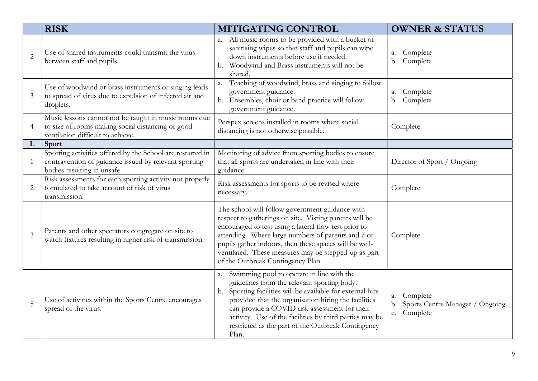|                | <b>RISK</b>                                                                                                                                       | MITIGATING CONTROL                                                                                                                                                                                                                                                                                                                                                                           | <b>OWNER &amp; STATUS</b>                                              |
|----------------|---------------------------------------------------------------------------------------------------------------------------------------------------|----------------------------------------------------------------------------------------------------------------------------------------------------------------------------------------------------------------------------------------------------------------------------------------------------------------------------------------------------------------------------------------------|------------------------------------------------------------------------|
| $\overline{2}$ | Use of shared instruments could transmit the virus<br>between staff and pupils.                                                                   | a. All music rooms to be provided with a bucket of<br>sanitising wipes so that staff and pupils can wipe<br>down instruments before use if needed.<br>b. Woodwind and Brass instruments will not be<br>shared.                                                                                                                                                                               | Complete<br>a.<br>b. Complete                                          |
| 3              | Use of woodwind or brass instruments or singing leads<br>to spread of virus due to expulsion of infected air and<br>droplets.                     | Teaching of woodwind, brass and singing to follow<br>a.<br>government guidance.<br>b. Ensembles, choir or band practice will follow<br>government guidance.                                                                                                                                                                                                                                  | Complete<br>a.<br>b. Complete                                          |
| 4              | Music lessons cannot not be taught in music rooms due<br>to size of rooms making social distancing or good<br>ventilation difficult to achieve.   | Perspex screens installed in rooms where social<br>distancing is not otherwise possible.                                                                                                                                                                                                                                                                                                     | Complete                                                               |
| L              | Sport                                                                                                                                             |                                                                                                                                                                                                                                                                                                                                                                                              |                                                                        |
|                | Sporting activities offered by the School are restarted in<br>contravention of guidance issued by relevant sporting<br>bodies resulting in unsafe | Monitoring of advice from sporting bodies to ensure<br>that all sports are undertaken in line with their<br>guidance.                                                                                                                                                                                                                                                                        | Director of Sport / Ongoing                                            |
| $\overline{2}$ | Risk assessments for each sporting activity not properly<br>formulated to take account of risk of virus<br>transmission.                          | Risk assessments for sports to be revised where<br>necessary.                                                                                                                                                                                                                                                                                                                                | Complete                                                               |
| 3              | Parents and other spectators congregate on site to<br>watch fixtures resulting in higher risk of transmission.                                    | The school will follow government guidance with<br>respect to gatherings on site. Visting parents will be<br>encouraged to test using a lateral flow test prior to<br>attending. Where large numbers of parents and / or<br>pupils gather indoors, then these spaces will be well-<br>ventilated. These measures may be stepped-up as part<br>of the Outbreak Contingency Plan.              | Complete                                                               |
| 5              | Use of activities within the Sports Centre encourages<br>spread of the virus.                                                                     | a. Swimming pool to operate in line with the<br>guidelines from the relevant sporting body.<br>b. Sporting facilities will be available for external hire<br>provided that the organisation hiring the facilities<br>can provide a COVID risk assessment for their<br>activity. Use of the facilities by third parties may be<br>restricted as the part of the Outbreak Contingency<br>Plan. | Complete<br>a.<br>Sports Centre Manager / Ongoing<br>b.<br>c. Complete |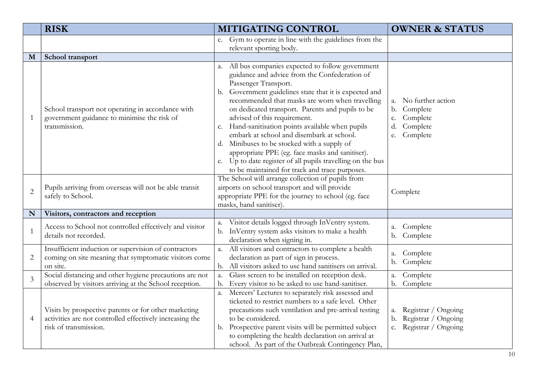|                | <b>RISK</b>                                                                                                                               | <b>MITIGATING CONTROL</b>                                                                                                                                                                                                                                                                                                                                                                                                                                                                                                                                                                                                                           | <b>OWNER &amp; STATUS</b>                                                                                   |
|----------------|-------------------------------------------------------------------------------------------------------------------------------------------|-----------------------------------------------------------------------------------------------------------------------------------------------------------------------------------------------------------------------------------------------------------------------------------------------------------------------------------------------------------------------------------------------------------------------------------------------------------------------------------------------------------------------------------------------------------------------------------------------------------------------------------------------------|-------------------------------------------------------------------------------------------------------------|
|                |                                                                                                                                           | c. Gym to operate in line with the guidelines from the<br>relevant sporting body.                                                                                                                                                                                                                                                                                                                                                                                                                                                                                                                                                                   |                                                                                                             |
| M              | School transport                                                                                                                          |                                                                                                                                                                                                                                                                                                                                                                                                                                                                                                                                                                                                                                                     |                                                                                                             |
| $\mathbf{1}$   | School transport not operating in accordance with<br>government guidance to minimise the risk of<br>transmission.                         | All bus companies expected to follow government<br>a.<br>guidance and advice from the Confederation of<br>Passenger Transport.<br>b. Government guidelines state that it is expected and<br>recommended that masks are worn when travelling<br>on dedicated transport. Parents and pupils to be<br>advised of this requirement.<br>c. Hand-sanitisation points available when pupils<br>embark at school and disembark at school.<br>d. Minibuses to be stocked with a supply of<br>appropriate PPE (eg. face masks and sanitiser).<br>e. Up to date register of all pupils travelling on the bus<br>to be maintained for track and trace purposes. | No further action<br>a.<br>Complete<br>$\mathbf{b}$ .<br>Complete<br>c.<br>Complete<br>d.<br>Complete<br>e. |
| $\overline{2}$ | Pupils arriving from overseas will not be able transit<br>safely to School.                                                               | The School will arrange collection of pupils from<br>airports on school transport and will provide<br>appropriate PPE for the journey to school (eg. face<br>masks, hand sanitiser).                                                                                                                                                                                                                                                                                                                                                                                                                                                                | Complete                                                                                                    |
| N              | Visitors, contractors and reception                                                                                                       |                                                                                                                                                                                                                                                                                                                                                                                                                                                                                                                                                                                                                                                     |                                                                                                             |
| $\mathbf{1}$   | Access to School not controlled effectively and visitor<br>details not recorded.                                                          | Visitor details logged through InVentry system.<br>a.<br>b. InVentry system asks visitors to make a health<br>declaration when signing in.                                                                                                                                                                                                                                                                                                                                                                                                                                                                                                          | Complete<br>a.<br>b. Complete                                                                               |
| $\overline{2}$ | Insufficient induction or supervision of contractors<br>coming on site meaning that symptomatic visitors come<br>on site.                 | All visitors and contractors to complete a health<br>a.<br>declaration as part of sign in process.<br>b. All visitors asked to use hand sanitisers on arrival.                                                                                                                                                                                                                                                                                                                                                                                                                                                                                      | Complete<br>a.<br>Complete<br>b.                                                                            |
| 3              | Social distancing and other hygiene precautions are not<br>observed by visitors arriving at the School reception.                         | Glass screen to be installed on reception desk.<br>a.<br>Every visitor to be asked to use hand-sanitiser.<br>b.                                                                                                                                                                                                                                                                                                                                                                                                                                                                                                                                     | Complete<br>a.<br>b. Complete                                                                               |
| $\overline{4}$ | Visits by prospective parents or for other marketing<br>activities are not controlled effectively increasing the<br>risk of transmission. | a. Mercers' Lectures to separately risk assessed and<br>ticketed to restrict numbers to a safe level. Other<br>precautions such ventilation and pre-arrival testing<br>to be considered.<br>b. Prospective parent visits will be permitted subject<br>to completing the health declaration on arrival at<br>school. As part of the Outbreak Contingency Plan,                                                                                                                                                                                                                                                                                       | Registrar / Ongoing<br>a.<br>Registrar / Ongoing<br>b.<br>Registrar / Ongoing<br>c.                         |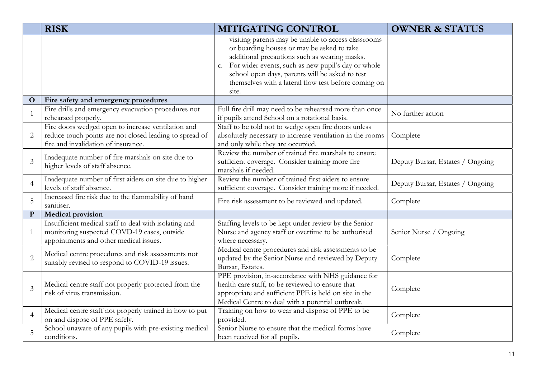|                | <b>RISK</b>                                                                                                                                          | <b>MITIGATING CONTROL</b>                                                                                                                                                                                                                                                                                                       | <b>OWNER &amp; STATUS</b>        |
|----------------|------------------------------------------------------------------------------------------------------------------------------------------------------|---------------------------------------------------------------------------------------------------------------------------------------------------------------------------------------------------------------------------------------------------------------------------------------------------------------------------------|----------------------------------|
|                |                                                                                                                                                      | visiting parents may be unable to access classrooms<br>or boarding houses or may be asked to take<br>additional precautions such as wearing masks.<br>c. For wider events, such as new pupil's day or whole<br>school open days, parents will be asked to test<br>themselves with a lateral flow test before coming on<br>site. |                                  |
| $\mathbf{O}$   | Fire safety and emergency procedures                                                                                                                 |                                                                                                                                                                                                                                                                                                                                 |                                  |
| $\mathbf{1}$   | Fire drills and emergency evacuation procedures not<br>rehearsed properly.                                                                           | Full fire drill may need to be rehearsed more than once<br>if pupils attend School on a rotational basis.                                                                                                                                                                                                                       | No further action                |
| $\overline{2}$ | Fire doors wedged open to increase ventilation and<br>reduce touch points are not closed leading to spread of<br>fire and invalidation of insurance. | Staff to be told not to wedge open fire doors unless<br>absolutely necessary to increase ventilation in the rooms<br>and only while they are occupied.                                                                                                                                                                          | Complete                         |
| $\mathfrak{Z}$ | Inadequate number of fire marshals on site due to<br>higher levels of staff absence.                                                                 | Review the number of trained fire marshals to ensure<br>sufficient coverage. Consider training more fire<br>marshals if needed.                                                                                                                                                                                                 | Deputy Bursar, Estates / Ongoing |
| $\overline{4}$ | Inadequate number of first aiders on site due to higher<br>levels of staff absence.                                                                  | Review the number of trained first aiders to ensure<br>sufficient coverage. Consider training more if needed.                                                                                                                                                                                                                   | Deputy Bursar, Estates / Ongoing |
| 5              | Increased fire risk due to the flammability of hand<br>sanitiser.                                                                                    | Fire risk assessment to be reviewed and updated.                                                                                                                                                                                                                                                                                | Complete                         |
| ${\bf P}$      | <b>Medical provision</b>                                                                                                                             |                                                                                                                                                                                                                                                                                                                                 |                                  |
| $\mathbf{1}$   | Insufficient medical staff to deal with isolating and<br>monitoring suspected COVD-19 cases, outside<br>appointments and other medical issues.       | Staffing levels to be kept under review by the Senior<br>Nurse and agency staff or overtime to be authorised<br>where necessary.                                                                                                                                                                                                | Senior Nurse / Ongoing           |
| $\overline{2}$ | Medical centre procedures and risk assessments not<br>suitably revised to respond to COVID-19 issues.                                                | Medical centre procedures and risk assessments to be<br>updated by the Senior Nurse and reviewed by Deputy<br>Bursar, Estates.                                                                                                                                                                                                  | Complete                         |
| $\overline{3}$ | Medical centre staff not properly protected from the<br>risk of virus transmission.                                                                  | PPE provision, in-accordance with NHS guidance for<br>health care staff, to be reviewed to ensure that<br>appropriate and sufficient PPE is held on site in the<br>Medical Centre to deal with a potential outbreak.                                                                                                            | Complete                         |
| $\overline{4}$ | Medical centre staff not properly trained in how to put<br>on and dispose of PPE safely.                                                             | Training on how to wear and dispose of PPE to be<br>provided.                                                                                                                                                                                                                                                                   | Complete                         |
| 5              | School unaware of any pupils with pre-existing medical<br>conditions.                                                                                | Senior Nurse to ensure that the medical forms have<br>been received for all pupils.                                                                                                                                                                                                                                             | Complete                         |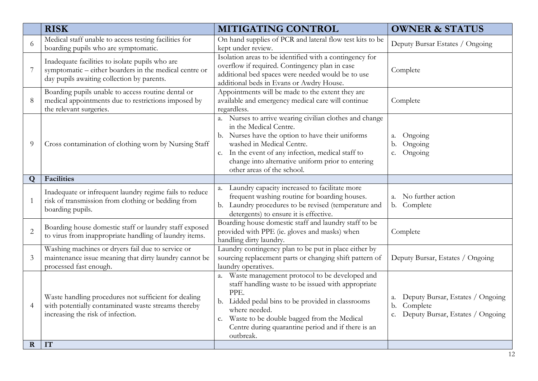|                | <b>RISK</b>                                                                                                                                             | MITIGATING CONTROL                                                                                                                                                                                                                                                                                          | <b>OWNER &amp; STATUS</b>                                                                          |
|----------------|---------------------------------------------------------------------------------------------------------------------------------------------------------|-------------------------------------------------------------------------------------------------------------------------------------------------------------------------------------------------------------------------------------------------------------------------------------------------------------|----------------------------------------------------------------------------------------------------|
| 6              | Medical staff unable to access testing facilities for<br>boarding pupils who are symptomatic.                                                           | On hand supplies of PCR and lateral flow test kits to be<br>kept under review.                                                                                                                                                                                                                              | Deputy Bursar Estates / Ongoing                                                                    |
|                | Inadequate facilities to isolate pupils who are<br>symptomatic – either boarders in the medical centre or<br>day pupils awaiting collection by parents. | Isolation areas to be identified with a contingency for<br>overflow if required. Contingency plan in case<br>additional bed spaces were needed would be to use<br>additional beds in Evans or Awdry House.                                                                                                  | Complete                                                                                           |
| 8              | Boarding pupils unable to access routine dental or<br>medical appointments due to restrictions imposed by<br>the relevant surgeries.                    | Appointments will be made to the extent they are<br>available and emergency medical care will continue<br>regardless.                                                                                                                                                                                       | Complete                                                                                           |
| 9              | Cross contamination of clothing worn by Nursing Staff                                                                                                   | a. Nurses to arrive wearing civilian clothes and change<br>in the Medical Centre.<br>b. Nurses have the option to have their uniforms<br>washed in Medical Centre.<br>c. In the event of any infection, medical staff to<br>change into alternative uniform prior to entering<br>other areas of the school. | Ongoing<br>a.<br>Ongoing<br>b.<br>Ongoing<br>c.                                                    |
| Q              | Facilities                                                                                                                                              |                                                                                                                                                                                                                                                                                                             |                                                                                                    |
| $\mathbf{1}$   | Inadequate or infrequent laundry regime fails to reduce<br>risk of transmission from clothing or bedding from<br>boarding pupils.                       | Laundry capacity increased to facilitate more<br>a.<br>frequent washing routine for boarding houses.<br>b. Laundry procedures to be revised (temperature and<br>detergents) to ensure it is effective.                                                                                                      | No further action<br>a.<br>b. Complete                                                             |
| $\overline{2}$ | Boarding house domestic staff or laundry staff exposed<br>to virus from inappropriate handling of laundry items.                                        | Boarding house domestic staff and laundry staff to be<br>provided with PPE (ie. gloves and masks) when<br>handling dirty laundry.                                                                                                                                                                           | Complete                                                                                           |
| 3              | Washing machines or dryers fail due to service or<br>maintenance issue meaning that dirty laundry cannot be<br>processed fast enough.                   | Laundry contingency plan to be put in place either by<br>sourcing replacement parts or changing shift pattern of<br>laundry operatives.                                                                                                                                                                     | Deputy Bursar, Estates / Ongoing                                                                   |
| $\overline{4}$ | Waste handling procedures not sufficient for dealing<br>with potentially contaminated waste streams thereby<br>increasing the risk of infection.        | a. Waste management protocol to be developed and<br>staff handling waste to be issued with appropriate<br>PPE.<br>b. Lidded pedal bins to be provided in classrooms<br>where needed.<br>c. Waste to be double bagged from the Medical<br>Centre during quarantine period and if there is an<br>outbreak.    | Deputy Bursar, Estates / Ongoing<br>a.<br>Complete<br>b.<br>Deputy Bursar, Estates / Ongoing<br>c. |
| $\mathbf R$    | IT                                                                                                                                                      |                                                                                                                                                                                                                                                                                                             |                                                                                                    |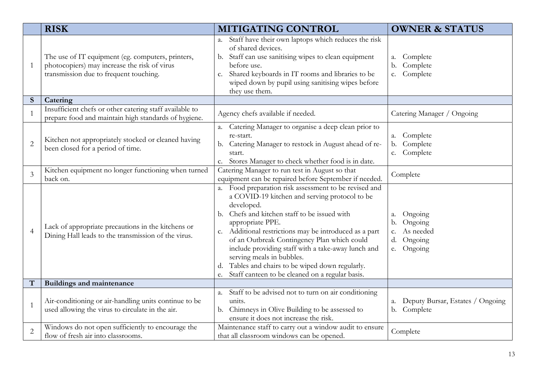|                | <b>RISK</b>                                                                                                                                 | <b>MITIGATING CONTROL</b>                                                                                                                                                                                                                                                                                                                                                                                                                                                                                  | <b>OWNER &amp; STATUS</b>                                                           |
|----------------|---------------------------------------------------------------------------------------------------------------------------------------------|------------------------------------------------------------------------------------------------------------------------------------------------------------------------------------------------------------------------------------------------------------------------------------------------------------------------------------------------------------------------------------------------------------------------------------------------------------------------------------------------------------|-------------------------------------------------------------------------------------|
| $\mathbf{1}$   | The use of IT equipment (eg. computers, printers,<br>photocopiers) may increase the risk of virus<br>transmission due to frequent touching. | a. Staff have their own laptops which reduces the risk<br>of shared devices.<br>b. Staff can use sanitising wipes to clean equipment<br>before use.<br>c. Shared keyboards in IT rooms and libraries to be<br>wiped down by pupil using sanitising wipes before<br>they use them.                                                                                                                                                                                                                          | Complete<br>a.<br>Complete<br>b.<br>Complete<br>c.                                  |
| S              | Catering                                                                                                                                    |                                                                                                                                                                                                                                                                                                                                                                                                                                                                                                            |                                                                                     |
| $\mathbf{1}$   | Insufficient chefs or other catering staff available to<br>prepare food and maintain high standards of hygiene.                             | Agency chefs available if needed.                                                                                                                                                                                                                                                                                                                                                                                                                                                                          | Catering Manager / Ongoing                                                          |
| $\overline{2}$ | Kitchen not appropriately stocked or cleaned having<br>been closed for a period of time.                                                    | a. Catering Manager to organise a deep clean prior to<br>re-start.<br>b. Catering Manager to restock in August ahead of re-<br>start.<br>Stores Manager to check whether food is in date.<br>c.                                                                                                                                                                                                                                                                                                            | Complete<br>a.<br>Complete<br>$\mathbf{b}$ .<br>Complete<br>c.                      |
| $\overline{3}$ | Kitchen equipment no longer functioning when turned<br>back on.                                                                             | Catering Manager to run test in August so that<br>equipment can be repaired before September if needed.                                                                                                                                                                                                                                                                                                                                                                                                    | Complete                                                                            |
| $\overline{4}$ | Lack of appropriate precautions in the kitchens or<br>Dining Hall leads to the transmission of the virus.                                   | a. Food preparation risk assessment to be revised and<br>a COVID-19 kitchen and serving protocol to be<br>developed.<br>Chefs and kitchen staff to be issued with<br>b.<br>appropriate PPE.<br>Additional restrictions may be introduced as a part<br>c.<br>of an Outbreak Contingency Plan which could<br>include providing staff with a take-away lunch and<br>serving meals in bubbles.<br>Tables and chairs to be wiped down regularly.<br>d.<br>Staff canteen to be cleaned on a regular basis.<br>e. | Ongoing<br>а.<br>Ongoing<br>b.<br>As needed<br>c.<br>Ongoing<br>d.<br>Ongoing<br>e. |
| $\mathbf T$    | <b>Buildings and maintenance</b>                                                                                                            |                                                                                                                                                                                                                                                                                                                                                                                                                                                                                                            |                                                                                     |
| $\mathbf{1}$   | Air-conditioning or air-handling units continue to be<br>used allowing the virus to circulate in the air.                                   | Staff to be advised not to turn on air conditioning<br>a.<br>units.<br>b. Chimneys in Olive Building to be assessed to<br>ensure it does not increase the risk.                                                                                                                                                                                                                                                                                                                                            | Deputy Bursar, Estates / Ongoing<br>a.<br>b. Complete                               |
| $\overline{2}$ | Windows do not open sufficiently to encourage the<br>flow of fresh air into classrooms.                                                     | Maintenance staff to carry out a window audit to ensure<br>that all classroom windows can be opened.                                                                                                                                                                                                                                                                                                                                                                                                       | Complete                                                                            |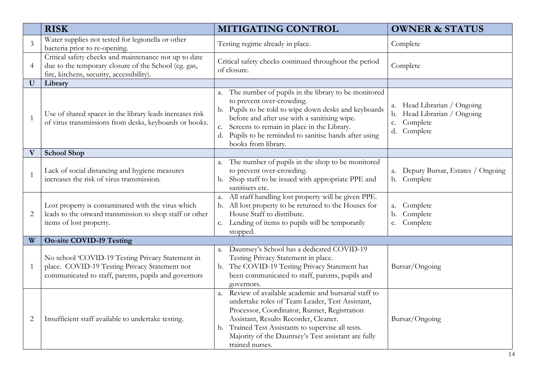|                           | <b>RISK</b>                                                                                                                                                | MITIGATING CONTROL                                                                                                                                                                                                                                                                                                                 | <b>OWNER &amp; STATUS</b>                                                                            |
|---------------------------|------------------------------------------------------------------------------------------------------------------------------------------------------------|------------------------------------------------------------------------------------------------------------------------------------------------------------------------------------------------------------------------------------------------------------------------------------------------------------------------------------|------------------------------------------------------------------------------------------------------|
| 3                         | Water supplies not tested for legionella or other<br>bacteria prior to re-opening.                                                                         | Testing regime already in place.                                                                                                                                                                                                                                                                                                   | Complete                                                                                             |
| $\overline{4}$            | Critical safety checks and maintenance not up to date<br>due to the temporary closure of the School (eg. gas,<br>fire, kitchens, security, accessibility). | Critical safety checks continued throughout the period<br>of closure.                                                                                                                                                                                                                                                              | Complete                                                                                             |
| $\bf{U}$                  | Library                                                                                                                                                    |                                                                                                                                                                                                                                                                                                                                    |                                                                                                      |
| $\mathbf{1}$              | Use of shared spaces in the library leads increases risk<br>of virus transmissions from desks, keyboards or books.                                         | a. The number of pupils in the library to be monitored<br>to prevent over-crowding.<br>Pupils to be told to wipe down desks and keyboards<br>b.<br>before and after use with a sanitising wipe.<br>c. Screens to remain in place in the Library.<br>d. Pupils to be reminded to sanitise hands after using<br>books from library.  | Head Librarian / Ongoing<br>a.<br>Head Librarian / Ongoing<br>b.<br>Complete<br>c.<br>Complete<br>d. |
| $\boldsymbol{\mathrm{V}}$ | <b>School Shop</b>                                                                                                                                         |                                                                                                                                                                                                                                                                                                                                    |                                                                                                      |
| $\mathbf{1}$              | Lack of social distancing and hygiene measures<br>increases the risk of virus transmission.                                                                | a. The number of pupils in the shop to be monitored<br>to prevent over-crowding.<br>b. Shop staff to be issued with appropriate PPE and<br>sanitisers etc.                                                                                                                                                                         | a. Deputy Bursar, Estates / Ongoing<br>b. Complete                                                   |
| 2                         | Lost property is contaminated with the virus which<br>leads to the onward transmission to shop staff or other<br>items of lost property.                   | All staff handling lost property will be given PPE.<br>a.<br>b. All lost property to be returned to the Houses for<br>House Staff to distribute.<br>c. Lending of items to pupils will be temporarily<br>stopped.                                                                                                                  | a. Complete<br>Complete<br>b.<br>Complete<br>c.                                                      |
| W                         | <b>On-site COVID-19 Testing</b>                                                                                                                            |                                                                                                                                                                                                                                                                                                                                    |                                                                                                      |
| $\mathbf 1$               | No school 'COVID-19 Testing Privacy Statement in<br>place. COVID-19 Testing Privacy Statement not<br>communicated to staff, parents, pupils and governors  | a. Dauntsey's School has a dedicated COVID-19<br>Testing Privacy Statement in place.<br>b. The COVID-19 Testing Privacy Statement has<br>been communicated to staff, parents, pupils and<br>governors.                                                                                                                             | Bursar/Ongoing                                                                                       |
| 2                         | Insufficient staff available to undertake testing.                                                                                                         | a. Review of available academic and bursarial staff to<br>undertake roles of Team Leader, Test Assistant,<br>Processor, Coordinator, Runner, Registration<br>Assistant, Results Recorder, Cleaner.<br>b. Trained Test Assistants to supervise all tests.<br>Majority of the Dauntsey's Test assistant are fully<br>trained nurses. | Bursar/Ongoing                                                                                       |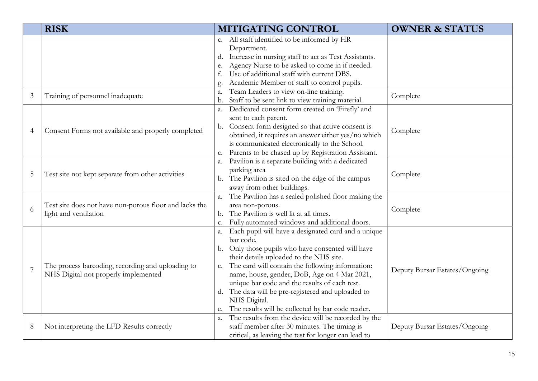|                | <b>RISK</b>                                                                               | MITIGATING CONTROL                                           | <b>OWNER &amp; STATUS</b>     |
|----------------|-------------------------------------------------------------------------------------------|--------------------------------------------------------------|-------------------------------|
|                |                                                                                           | c. All staff identified to be informed by HR                 |                               |
|                |                                                                                           | Department.                                                  |                               |
|                |                                                                                           | d. Increase in nursing staff to act as Test Assistants.      |                               |
|                |                                                                                           | Agency Nurse to be asked to come in if needed.<br>e.         |                               |
|                |                                                                                           | Use of additional staff with current DBS.                    |                               |
|                |                                                                                           | Academic Member of staff to control pupils.                  |                               |
| 3              | Training of personnel inadequate                                                          | Team Leaders to view on-line training.<br>a.                 | Complete                      |
|                |                                                                                           | b. Staff to be sent link to view training material.          |                               |
|                |                                                                                           | Dedicated consent form created on 'Firefly' and<br>a.        |                               |
|                |                                                                                           | sent to each parent.                                         |                               |
| 4              | Consent Forms not available and properly completed                                        | b. Consent form designed so that active consent is           | Complete                      |
|                |                                                                                           | obtained, it requires an answer either yes/no which          |                               |
|                |                                                                                           | is communicated electronically to the School.                |                               |
|                |                                                                                           | c. Parents to be chased up by Registration Assistant.        |                               |
|                | Test site not kept separate from other activities                                         | a. Pavilion is a separate building with a dedicated          | Complete                      |
| 5              |                                                                                           | parking area                                                 |                               |
|                |                                                                                           | b. The Pavilion is sited on the edge of the campus           |                               |
|                |                                                                                           | away from other buildings.                                   |                               |
|                | Test site does not have non-porous floor and lacks the<br>light and ventilation           | The Pavilion has a sealed polished floor making the<br>a.    |                               |
| 6              |                                                                                           | area non-porous.                                             | Complete                      |
|                |                                                                                           | The Pavilion is well lit at all times.<br>b.                 |                               |
|                |                                                                                           | Fully automated windows and additional doors.<br>$C_{\star}$ |                               |
|                |                                                                                           | Each pupil will have a designated card and a unique<br>a.    | Deputy Bursar Estates/Ongoing |
|                |                                                                                           | bar code.                                                    |                               |
|                | The process barcoding, recording and uploading to<br>NHS Digital not properly implemented | b. Only those pupils who have consented will have            |                               |
|                |                                                                                           | their details uploaded to the NHS site.                      |                               |
| $\overline{7}$ |                                                                                           | c. The card will contain the following information:          |                               |
|                |                                                                                           | name, house, gender, DoB, Age on 4 Mar 2021,                 |                               |
|                |                                                                                           | unique bar code and the results of each test.                |                               |
|                |                                                                                           | d. The data will be pre-registered and uploaded to           |                               |
|                |                                                                                           | NHS Digital.                                                 |                               |
|                |                                                                                           | e. The results will be collected by bar code reader.         |                               |
| 8              | Not interpreting the LFD Results correctly                                                | a. The results from the device will be recorded by the       |                               |
|                |                                                                                           | staff member after 30 minutes. The timing is                 | Deputy Bursar Estates/Ongoing |
|                |                                                                                           | critical, as leaving the test for longer can lead to         |                               |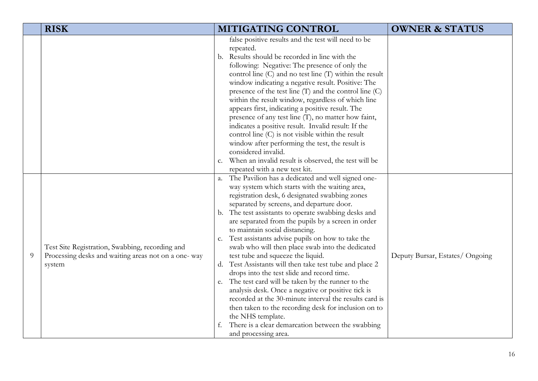|   | <b>RISK</b>                                                                                                      | MITIGATING CONTROL                                                                                                                                                                                                                                                                                                                                                                                                                                                                                                                                                                                                                                                                                                                                                                                                                                                                                                                                            | <b>OWNER &amp; STATUS</b>       |
|---|------------------------------------------------------------------------------------------------------------------|---------------------------------------------------------------------------------------------------------------------------------------------------------------------------------------------------------------------------------------------------------------------------------------------------------------------------------------------------------------------------------------------------------------------------------------------------------------------------------------------------------------------------------------------------------------------------------------------------------------------------------------------------------------------------------------------------------------------------------------------------------------------------------------------------------------------------------------------------------------------------------------------------------------------------------------------------------------|---------------------------------|
|   |                                                                                                                  | false positive results and the test will need to be<br>repeated.<br>b. Results should be recorded in line with the<br>following: Negative: The presence of only the<br>control line (C) and no test line (T) within the result<br>window indicating a negative result. Positive: The<br>presence of the test line (T) and the control line (C)<br>within the result window, regardless of which line<br>appears first, indicating a positive result. The<br>presence of any test line (T), no matter how faint,<br>indicates a positive result. Invalid result: If the<br>control line (C) is not visible within the result<br>window after performing the test, the result is<br>considered invalid.<br>c. When an invalid result is observed, the test will be<br>repeated with a new test kit.                                                                                                                                                             |                                 |
| 9 | Test Site Registration, Swabbing, recording and<br>Processing desks and waiting areas not on a one-way<br>system | a. The Pavilion has a dedicated and well signed one-<br>way system which starts with the waiting area,<br>registration desk, 6 designated swabbing zones<br>separated by screens, and departure door.<br>b. The test assistants to operate swabbing desks and<br>are separated from the pupils by a screen in order<br>to maintain social distancing.<br>Test assistants advise pupils on how to take the<br>$\mathsf{C}.$<br>swab who will then place swab into the dedicated<br>test tube and squeeze the liquid.<br>d. Test Assistants will then take test tube and place 2<br>drops into the test slide and record time.<br>e. The test card will be taken by the runner to the<br>analysis desk. Once a negative or positive tick is<br>recorded at the 30-minute interval the results card is<br>then taken to the recording desk for inclusion on to<br>the NHS template.<br>There is a clear demarcation between the swabbing<br>and processing area. | Deputy Bursar, Estates/ Ongoing |